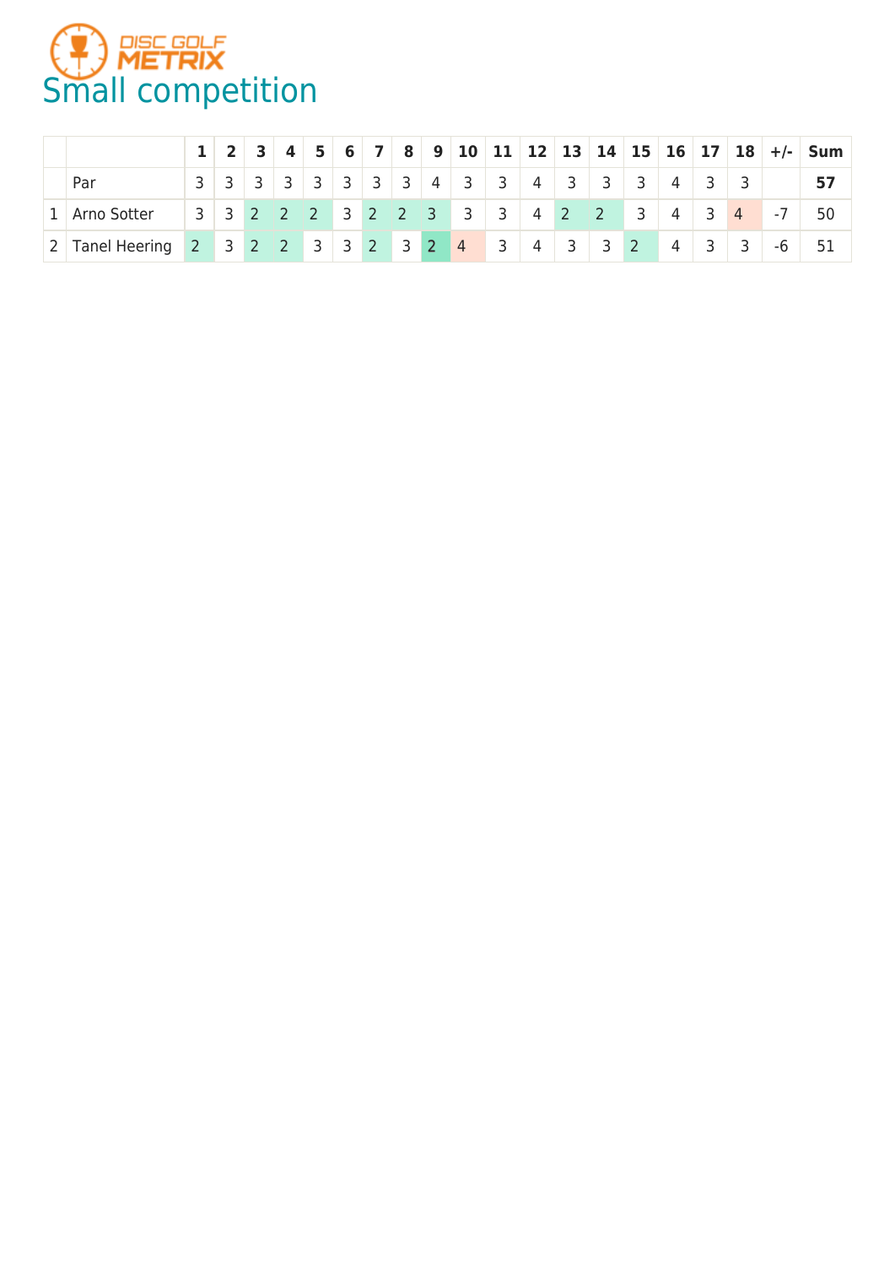

|                 |                |                | $4 \mid 5 \mid$ |  |  |                               |  |                 |                                                                 |           |                |                |                         |      | 6   7   8   9   10   11   12   13   14   15   16   17   18   +/-   Sum |
|-----------------|----------------|----------------|-----------------|--|--|-------------------------------|--|-----------------|-----------------------------------------------------------------|-----------|----------------|----------------|-------------------------|------|------------------------------------------------------------------------|
| Par             | 3 <sup>1</sup> | 3 <sup>1</sup> |                 |  |  | 3   3   3   3   3   4   3   3 |  | $4 \mid 3$      | $\overline{\mathbf{3}}$                                         | $\vert$ 3 | $\overline{4}$ |                |                         |      |                                                                        |
| 1 Arno Sotter   |                |                |                 |  |  | 3 3 2 2 2 3 2 2 3 3 3         |  |                 | $\begin{array}{ c c c c c } \hline 2 & 3 \\ \hline \end{array}$ |           | $\overline{4}$ | $\vert$ 3      | $\overline{4}$          | $-7$ | 50                                                                     |
| 2 Tanel Heering |                |                |                 |  |  | 2 3 2 2 3 3 2 3 2 4 3         |  | $4 \mid 3 \mid$ | $3 \mid 2$                                                      |           | $\overline{4}$ | $\overline{3}$ | $\overline{\mathbf{3}}$ | -6   |                                                                        |